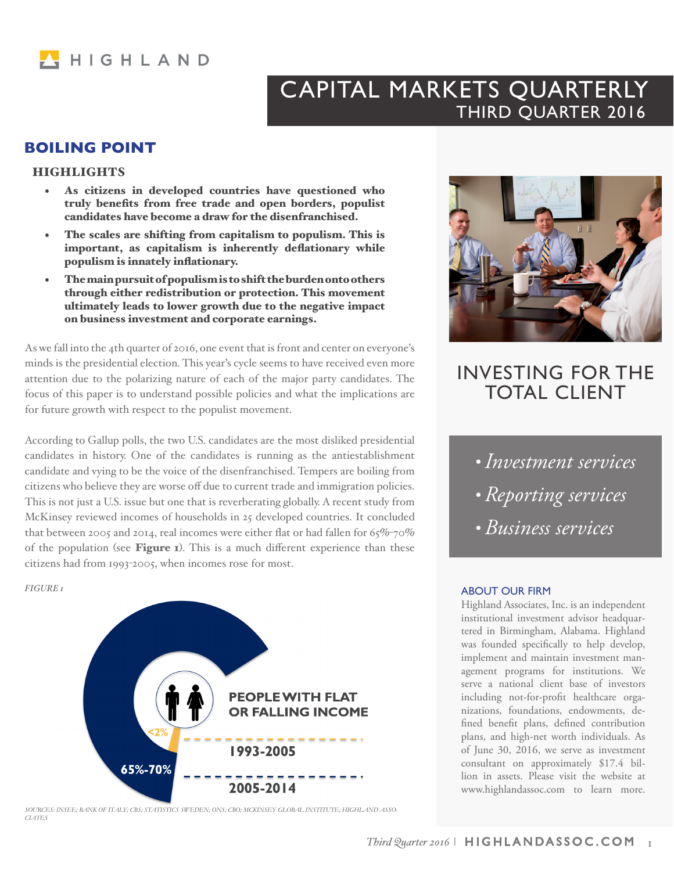

# CAPITAL MARKETS QUARTERLY THIRD QUARTER 2016

# **BOILING POINT**

### **HIGHLIGHTS**

- As citizens in developed countries have questioned who truly benefits from free trade and open borders, populist candidates have become a draw for the disenfranchised.
- The scales are shifting from capitalism to populism. This is important, as capitalism is inherently deflationary while populism is innately inflationary.
- The main pursuit of populism is to shift the burden onto others through either redistribution or protection. This movement ultimately leads to lower growth due to the negative impact on business investment and corporate earnings.

As we fall into the 4th quarter of 2016, one event that is front and center on everyone's minds is the presidential election. This year's cycle seems to have received even more attention due to the polarizing nature of each of the major party candidates. The focus of this paper is to understand possible policies and what the implications are for future growth with respect to the populist movement.

According to Gallup polls, the two U.S. candidates are the most disliked presidential candidates in history. One of the candidates is running as the antiestablishment candidate and vying to be the voice of the disenfranchised. Tempers are boiling from citizens who believe they are worse off due to current trade and immigration policies. This is not just a U.S. issue but one that is reverberating globally. A recent study from McKinsey reviewed incomes of households in 25 developed countries. It concluded that between 2005 and 2014, real incomes were either flat or had fallen for  $65\%$ -70% of the population (see Figure 1). This is a much different experience than these citizens had from 1993-2005, when incomes rose for most.

*FIGURE 1*



*SOURCES: INSEE; BANK OF ITALY; CBS; STATISTICS SWEDEN; ONS; CBO; MCKINSEY GLOBAL INSTITUTE; HIGHLAND ASSO-CIATES*



# INVESTING FOR THE TOTAL CLIENT

- *Investment services*
- *Reporting services*
- *Business services*

#### ABOUT OUR FIRM

Highland Associates, Inc. is an independent institutional investment advisor headquartered in Birmingham, Alabama. Highland was founded specifically to help develop, implement and maintain investment management programs for institutions. We serve a national client base of investors including not-for-profit healthcare organizations, foundations, endowments, defined benefit plans, defined contribution plans, and high-net worth individuals. As of June 30, 2016, we serve as investment consultant on approximately \$17.4 billion in assets. Please visit the website at www.highlandassoc.com to learn more.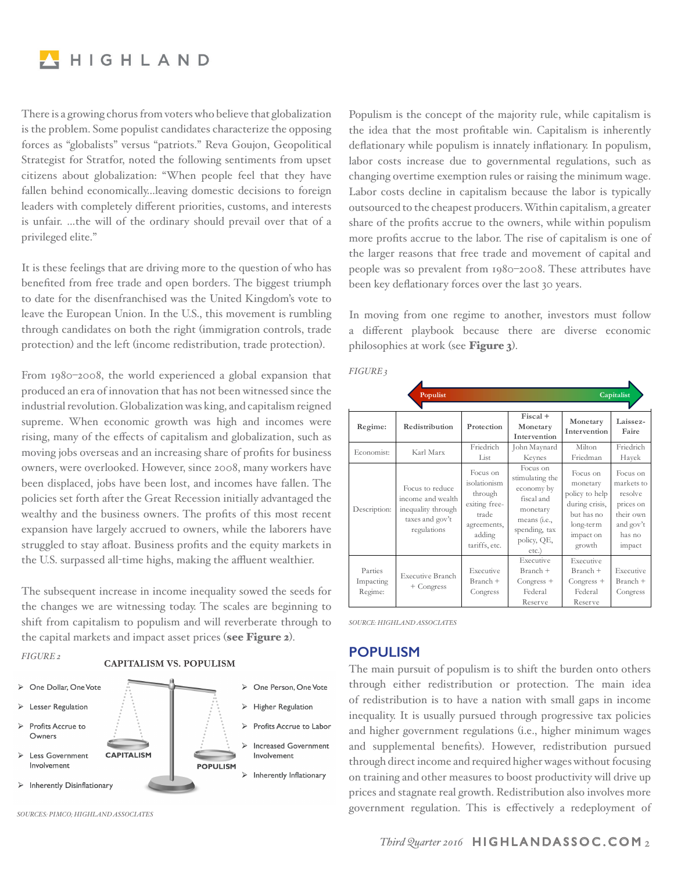

There is a growing chorus from voters who believe that globalization is the problem. Some populist candidates characterize the opposing forces as "globalists" versus "patriots." Reva Goujon, Geopolitical Strategist for Stratfor, noted the following sentiments from upset citizens about globalization: "When people feel that they have fallen behind economically…leaving domestic decisions to foreign leaders with completely different priorities, customs, and interests is unfair. …the will of the ordinary should prevail over that of a privileged elite."

It is these feelings that are driving more to the question of who has benefited from free trade and open borders. The biggest triumph to date for the disenfranchised was the United Kingdom's vote to leave the European Union. In the U.S., this movement is rumbling through candidates on both the right (immigration controls, trade protection) and the left (income redistribution, trade protection).

From 1980–2008, the world experienced a global expansion that produced an era of innovation that has not been witnessed since the industrial revolution. Globalization was king, and capitalism reigned supreme. When economic growth was high and incomes were rising, many of the effects of capitalism and globalization, such as moving jobs overseas and an increasing share of profits for business owners, were overlooked. However, since 2008, many workers have been displaced, jobs have been lost, and incomes have fallen. The policies set forth after the Great Recession initially advantaged the wealthy and the business owners. The profits of this most recent expansion have largely accrued to owners, while the laborers have struggled to stay afloat. Business profits and the equity markets in the U.S. surpassed all-time highs, making the affluent wealthier.

The subsequent increase in income inequality sowed the seeds for the changes we are witnessing today. The scales are beginning to shift from capitalism to populism and will reverberate through to the capital markets and impact asset prices (see Figure 2).

*FIGURE 2*

#### **CAPITALISM VS. POPULISM**



*SOURCES: PIMCO; HIGHLAND ASSOCIATES*

Populism is the concept of the majority rule, while capitalism is the idea that the most profitable win. Capitalism is inherently deflationary while populism is innately inflationary. In populism, labor costs increase due to governmental regulations, such as changing overtime exemption rules or raising the minimum wage. Labor costs decline in capitalism because the labor is typically outsourced to the cheapest producers. Within capitalism, a greater share of the profits accrue to the owners, while within populism more profits accrue to the labor. The rise of capitalism is one of the larger reasons that free trade and movement of capital and people was so prevalent from 1980–2008. These attributes have been key deflationary forces over the last 30 years.

In moving from one regime to another, investors must follow a different playbook because there are diverse economic philosophies at work (see Figure 3).

|                                 | Populist                                                                                     |                                                                                                         |                                                                                                                                      |                                                                                                            | Capitalist                                                                                   |
|---------------------------------|----------------------------------------------------------------------------------------------|---------------------------------------------------------------------------------------------------------|--------------------------------------------------------------------------------------------------------------------------------------|------------------------------------------------------------------------------------------------------------|----------------------------------------------------------------------------------------------|
| Regime:                         | Redistribution                                                                               | Protection                                                                                              | $Fiscal +$<br>Monetary<br>Intervention                                                                                               | Monetary<br>Intervention                                                                                   | Laissez-<br>Faire                                                                            |
| Economist:                      | Karl Marx                                                                                    | Friedrich<br>List                                                                                       | John Maynard<br>Keynes                                                                                                               | Milton<br>Friedman                                                                                         | Friedrich<br>Hayek                                                                           |
| Description:                    | Focus to reduce<br>income and wealth<br>inequality through<br>taxes and gov't<br>regulations | Focus on<br>isolationism<br>through<br>exiting free-<br>trade<br>agreements,<br>adding<br>tariffs, etc. | Focus on<br>stimulating the<br>economy by<br>fiscal and<br>monetary<br>means ( <i>i.e.</i> ,<br>spending, tax<br>policy, QE,<br>etc. | Focus on<br>monetary<br>policy to help<br>during crisis,<br>but has no<br>long-term<br>impact on<br>growth | Focus on<br>markets to<br>resolve<br>prices on<br>their own<br>and gov't<br>has no<br>impact |
| Parties<br>Impacting<br>Regime: | <b>Executive Branch</b><br>+ Congress                                                        | Executive<br>Branch +<br>Congress                                                                       | Executive<br>Branch +<br>$Congress +$<br>Federal<br>Reserve                                                                          | Executive<br>Branch +<br>$Congress +$<br>Federal<br>Reserve                                                | Executive<br>Branch +<br>Congress                                                            |

*FIGURE 3*

*SOURCE: HIGHLAND ASSOCIATES*

## **POPULISM**

The main pursuit of populism is to shift the burden onto others through either redistribution or protection. The main idea of redistribution is to have a nation with small gaps in income inequality. It is usually pursued through progressive tax policies and higher government regulations (i.e., higher minimum wages and supplemental benefits). However, redistribution pursued through direct income and required higher wages without focusing on training and other measures to boost productivity will drive up prices and stagnate real growth. Redistribution also involves more government regulation. This is effectively a redeployment of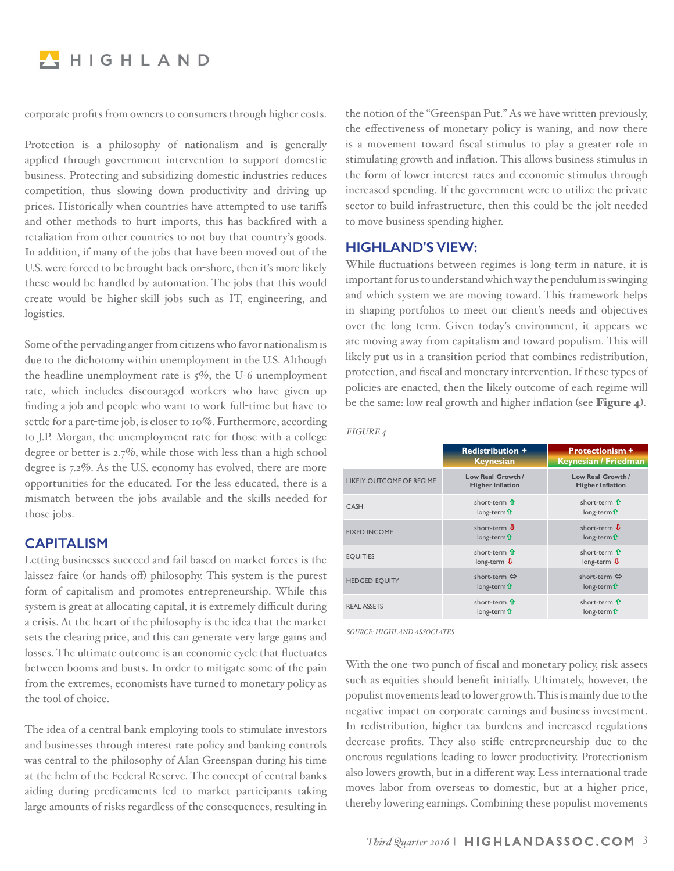

corporate profits from owners to consumers through higher costs.

Protection is a philosophy of nationalism and is generally applied through government intervention to support domestic business. Protecting and subsidizing domestic industries reduces competition, thus slowing down productivity and driving up prices. Historically when countries have attempted to use tariffs and other methods to hurt imports, this has backfired with a retaliation from other countries to not buy that country's goods. In addition, if many of the jobs that have been moved out of the U.S. were forced to be brought back on-shore, then it's more likely these would be handled by automation. The jobs that this would create would be higher-skill jobs such as IT, engineering, and logistics.

Some of the pervading anger from citizens who favor nationalism is due to the dichotomy within unemployment in the U.S. Although the headline unemployment rate is  $5\%$ , the U-6 unemployment rate, which includes discouraged workers who have given up finding a job and people who want to work full-time but have to settle for a part-time job, is closer to 10%. Furthermore, according to J.P. Morgan, the unemployment rate for those with a college degree or better is 2.7%, while those with less than a high school degree is 7.2%. As the U.S. economy has evolved, there are more opportunities for the educated. For the less educated, there is a mismatch between the jobs available and the skills needed for those jobs.

## **CAPITALISM**

Letting businesses succeed and fail based on market forces is the laissez-faire (or hands-off) philosophy. This system is the purest form of capitalism and promotes entrepreneurship. While this system is great at allocating capital, it is extremely difficult during a crisis. At the heart of the philosophy is the idea that the market sets the clearing price, and this can generate very large gains and losses. The ultimate outcome is an economic cycle that fluctuates between booms and busts. In order to mitigate some of the pain from the extremes, economists have turned to monetary policy as the tool of choice.

The idea of a central bank employing tools to stimulate investors and businesses through interest rate policy and banking controls was central to the philosophy of Alan Greenspan during his time at the helm of the Federal Reserve. The concept of central banks aiding during predicaments led to market participants taking large amounts of risks regardless of the consequences, resulting in the notion of the "Greenspan Put." As we have written previously, the effectiveness of monetary policy is waning, and now there is a movement toward fiscal stimulus to play a greater role in stimulating growth and inflation. This allows business stimulus in the form of lower interest rates and economic stimulus through increased spending. If the government were to utilize the private sector to build infrastructure, then this could be the jolt needed to move business spending higher.

## **HIGHLAND'S VIEW:**

While fluctuations between regimes is long-term in nature, it is important for us to understand which way the pendulum is swinging and which system we are moving toward. This framework helps in shaping portfolios to meet our client's needs and objectives over the long term. Given today's environment, it appears we are moving away from capitalism and toward populism. This will likely put us in a transition period that combines redistribution, protection, and fiscal and monetary intervention. If these types of policies are enacted, then the likely outcome of each regime will be the same: low real growth and higher inflation (see **Figure 4**).

|                          | <b>Redistribution +</b><br><b>Keynesian</b>                            | <b>Protectionism +</b><br>Keynesian / Friedman                         |  |
|--------------------------|------------------------------------------------------------------------|------------------------------------------------------------------------|--|
| LIKELY OUTCOME OF REGIME | Low Real Growth /<br><b>Higher Inflation</b>                           | Low Real Growth /<br><b>Higher Inflation</b>                           |  |
| CASH                     | short-term $\hat{\mathbf{T}}$<br>long-term $\mathbf{\hat{\mathbf{u}}}$ | short-term $\hat{\mathbf{T}}$<br>$long-term$ <b>1</b>                  |  |
| <b>FIXED INCOME</b>      | short-term $\Phi$<br>$long-term$ <b>1</b>                              | short-term $\Phi$<br>long-term $\mathbf{\hat{\mathbf{u}}}$             |  |
| <b>EOUITIES</b>          | short-term $\hat{\mathbf{n}}$<br>long-term $\Phi$                      | short-term $\hat{\mathbf{T}}$<br>long-term $\Psi$                      |  |
| <b>HEDGED EQUITY</b>     | short-term $\Leftrightarrow$<br>$long-term$ <b>1</b>                   | short-term $\Leftrightarrow$<br>long-term $\mathbf{\hat{\mathbf{u}}}$  |  |
| <b>REAL ASSETS</b>       | short-term $\hat{\mathbf{T}}$<br>long-term $\mathbf{\hat{\mathbf{n}}}$ | short-term $\hat{\mathbf{T}}$<br>long-term $\mathbf{\hat{\mathbf{u}}}$ |  |

*SOURCE: HIGHLAND ASSOCIATES*

*FIGURE 4*

With the one-two punch of fiscal and monetary policy, risk assets such as equities should benefit initially. Ultimately, however, the populist movements lead to lower growth. This is mainly due to the negative impact on corporate earnings and business investment. In redistribution, higher tax burdens and increased regulations decrease profits. They also stifle entrepreneurship due to the onerous regulations leading to lower productivity. Protectionism also lowers growth, but in a different way. Less international trade moves labor from overseas to domestic, but at a higher price, thereby lowering earnings. Combining these populist movements